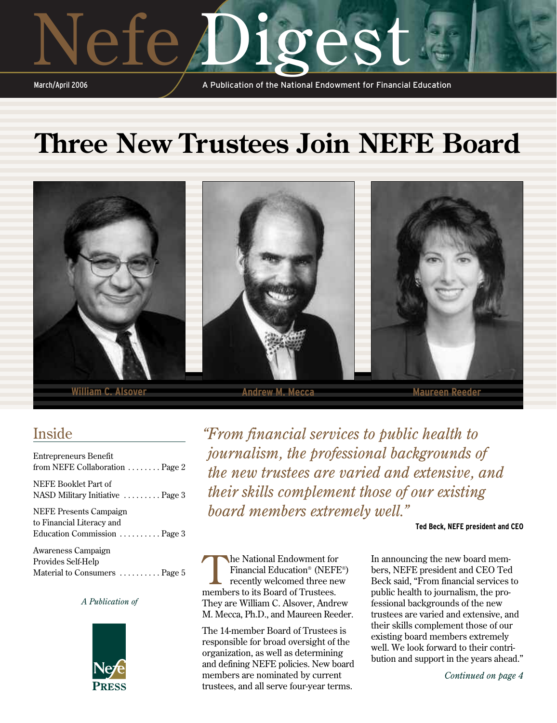# ete **1** orest

March/April 2006

A Publication of the National Endowment for Financial Education

## **Three New Trustees Join NEFE Board**



### Inside

| <b>Entrepreneurs Benefit</b><br>from NEFE Collaboration $\ldots \ldots$ . Page 2 |
|----------------------------------------------------------------------------------|
| NEFE Booklet Part of                                                             |
| NASD Military Initiative  Page 3                                                 |
| <b>NEFE Presents Campaign</b>                                                    |
| to Financial Literacy and                                                        |
| Education Commission  Page 3                                                     |
| Awareness Campaign                                                               |
| Provides Self-Help                                                               |
| Material to Consumers  Page 5                                                    |

#### *A Publication of*



*"From financial services to public health to journalism, the professional backgrounds of the new trustees are varied and extensive, and their skills complement those of our existing board members extremely well."*

#### **Ted Beck, NEFE president and CEO**

The National Endowment for<br>Financial Education® (NEFI<br>recently welcomed three ne Financial Education® (NEFE®) recently welcomed three new members to its Board of Trustees. They are William C. Alsover, Andrew M. Mecca, Ph.D., and Maureen Reeder.

The 14-member Board of Trustees is responsible for broad oversight of the organization, as well as determining and defining NEFE policies. New board members are nominated by current trustees, and all serve four-year terms.

In announcing the new board members, NEFE president and CEO Ted Beck said, "From financial services to public health to journalism, the professional backgrounds of the new trustees are varied and extensive, and their skills complement those of our existing board members extremely well. We look forward to their contribution and support in the years ahead."

*Continued on page 4*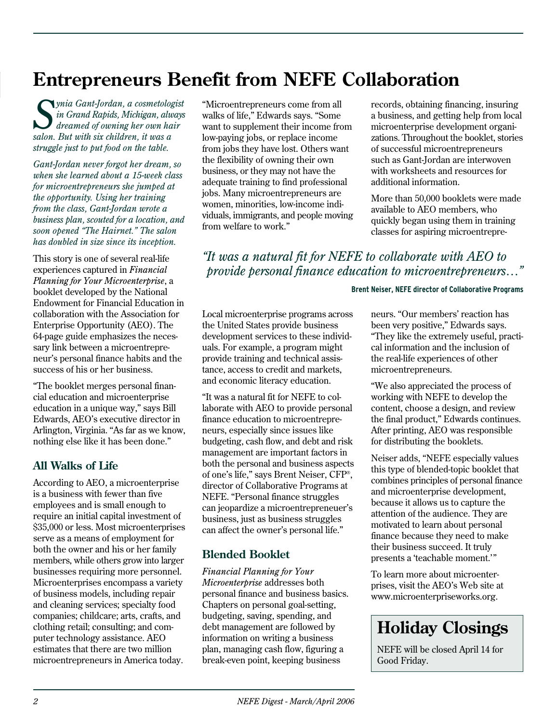### **Entrepreneurs Benefit from NEFE Collaboration**

*Synia Gant-Jordan, a cosmetologist in Grand Rapids, Michigan, always dreamed of owning her own hair salon. But with six children, it was a struggle just to put food on the table.* 

*Gant-Jordan never forgot her dream, so when she learned about a 15-week class for microentrepreneurs she jumped at the opportunity. Using her training from the class, Gant-Jordan wrote a business plan, scouted for a location, and soon opened "The Hairnet." The salon has doubled in size since its inception.* 

This story is one of several real-life experiences captured in *Financial Planning for Your Microenterprise*, a booklet developed by the National Endowment for Financial Education in collaboration with the Association for Enterprise Opportunity (AEO). The 64-page guide emphasizes the necessary link between a microentrepreneur's personal finance habits and the success of his or her business.

"The booklet merges personal financial education and microenterprise education in a unique way," says Bill Edwards, AEO's executive director in Arlington, Virginia. "As far as we know, nothing else like it has been done."

#### **All Walks of Life**

According to AEO, a microenterprise is a business with fewer than five employees and is small enough to require an initial capital investment of \$35,000 or less. Most microenterprises serve as a means of employment for both the owner and his or her family members, while others grow into larger businesses requiring more personnel. Microenterprises encompass a variety of business models, including repair and cleaning services; specialty food companies; childcare; arts, crafts, and clothing retail; consulting; and computer technology assistance. AEO estimates that there are two million microentrepreneurs in America today.

"Microentrepreneurs come from all walks of life," Edwards says. "Some want to supplement their income from low-paying jobs, or replace income from jobs they have lost. Others want the flexibility of owning their own business, or they may not have the adequate training to find professional jobs. Many microentrepreneurs are women, minorities, low-income individuals, immigrants, and people moving from welfare to work."

records, obtaining financing, insuring a business, and getting help from local microenterprise development organizations. Throughout the booklet, stories of successful microentrepreneurs such as Gant-Jordan are interwoven with worksheets and resources for additional information.

More than 50,000 booklets were made available to AEO members, who quickly began using them in training classes for aspiring microentrepre-

*"It was a natural fit for NEFE to collaborate with AEO to provide personal finance education to microentrepreneurs…"*

#### **Brent Neiser, NEFE director of Collaborative Programs**

Local microenterprise programs across the United States provide business development services to these individuals. For example, a program might provide training and technical assistance, access to credit and markets, and economic literacy education.

"It was a natural fit for NEFE to collaborate with AEO to provide personal finance education to microentrepreneurs, especially since issues like budgeting, cash flow, and debt and risk management are important factors in both the personal and business aspects of one's life," says Brent Neiser, CFP®, director of Collaborative Programs at NEFE. "Personal finance struggles can jeopardize a microentrepreneuer's business, just as business struggles can affect the owner's personal life."

#### **Blended Booklet**

*Financial Planning for Your Microenterprise* addresses both personal finance and business basics. Chapters on personal goal-setting, budgeting, saving, spending, and debt management are followed by information on writing a business plan, managing cash flow, figuring a break-even point, keeping business

neurs. "Our members' reaction has been very positive," Edwards says. "They like the extremely useful, practical information and the inclusion of the real-life experiences of other microentrepreneurs.

"We also appreciated the process of working with NEFE to develop the content, choose a design, and review the final product," Edwards continues. After printing, AEO was responsible for distributing the booklets.

Neiser adds, "NEFE especially values this type of blended-topic booklet that combines principles of personal finance and microenterprise development, because it allows us to capture the attention of the audience. They are motivated to learn about personal finance because they need to make their business succeed. It truly presents a 'teachable moment.'"

To learn more about microenterprises, visit the AEO's Web site at www.microenterpriseworks.org.

### **Holiday Closings**

NEFE will be closed April 14 for Good Friday.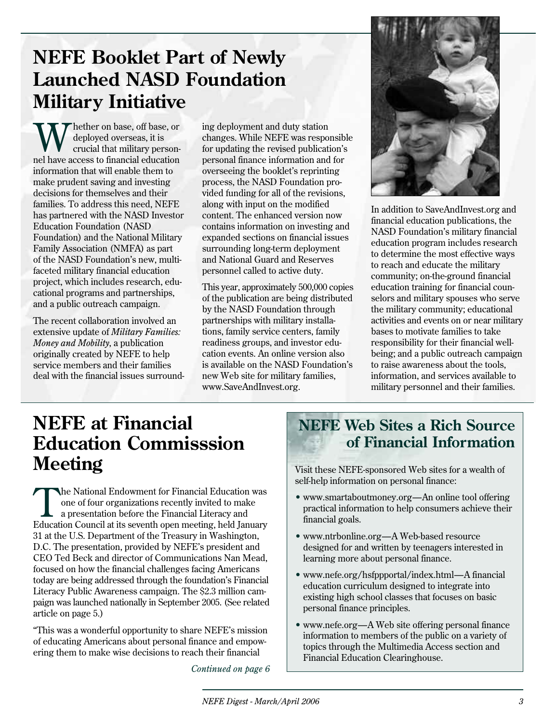### **NEFE Booklet Part of Newly Launched NASD Foundation Military Initiative**

hether on base, off base, or deployed overseas, it is crucial that military personnel have access to financial education information that will enable them to make prudent saving and investing decisions for themselves and their families. To address this need, NEFE has partnered with the NASD Investor Education Foundation (NASD Foundation) and the National Military Family Association (NMFA) as part of the NASD Foundation's new, multifaceted military financial education project, which includes research, educational programs and partnerships, and a public outreach campaign.

The recent collaboration involved an extensive update of *Military Families: Money and Mobility*, a publication originally created by NEFE to help service members and their families deal with the financial issues surrounding deployment and duty station changes. While NEFE was responsible for updating the revised publication's personal finance information and for overseeing the booklet's reprinting process, the NASD Foundation provided funding for all of the revisions, along with input on the modified content. The enhanced version now contains information on investing and expanded sections on financial issues surrounding long-term deployment and National Guard and Reserves personnel called to active duty.

This year, approximately 500,000 copies of the publication are being distributed by the NASD Foundation through partnerships with military installations, family service centers, family readiness groups, and investor education events. An online version also is available on the NASD Foundation's new Web site for military families, www.SaveAndInvest.org.



In addition to SaveAndInvest.org and financial education publications, the NASD Foundation's military financial education program includes research to determine the most effective ways to reach and educate the military community; on-the-ground financial education training for financial counselors and military spouses who serve the military community; educational activities and events on or near military bases to motivate families to take responsibility for their financial wellbeing; and a public outreach campaign to raise awareness about the tools, information, and services available to military personnel and their families.

### **NEFE at Financial Education Commisssion Meeting** Visit these NEFE-sponsored Web sites for a wealth of

The National Endowment for Financial Education was<br>one of four organizations recently invited to make<br>a presentation before the Financial Literacy and one of four organizations recently invited to make a presentation before the Financial Literacy and Education Council at its seventh open meeting, held January 31 at the U.S. Department of the Treasury in Washington, D.C. The presentation, provided by NEFE's president and CEO Ted Beck and director of Communications Nan Mead, focused on how the financial challenges facing Americans today are being addressed through the foundation's Financial Literacy Public Awareness campaign. The \$2.3 million campaign was launched nationally in September 2005. (See related article on page 5.)

"This was a wonderful opportunity to share NEFE's mission of educating Americans about personal finance and empowering them to make wise decisions to reach their financial

*Continued on page 6*

### **NEFE Web Sites a Rich Source of Financial Information**

self-help information on personal finance:

- www.smartaboutmoney.org—An online tool offering practical information to help consumers achieve their financial goals.
- www.ntrbonline.org—A Web-based resource designed for and written by teenagers interested in learning more about personal finance.
- www.nefe.org/hsfppportal/index.html—A financial education curriculum designed to integrate into existing high school classes that focuses on basic personal finance principles.
- www.nefe.org—A Web site offering personal finance information to members of the public on a variety of topics through the Multimedia Access section and Financial Education Clearinghouse.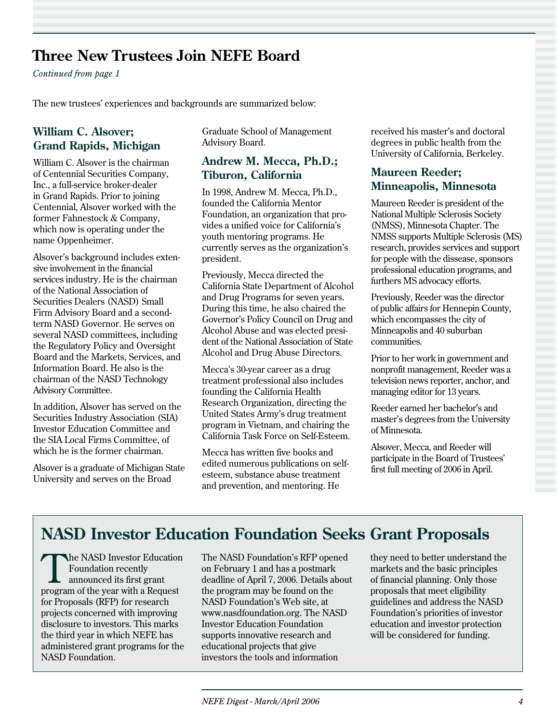### **Three New Trustees Join NEFE Board**

*Continued from page 1*

The new trustees' experiences and backgrounds are summarized below:

#### **William C. Alsover; Grand Rapids, Michigan**

William C. Alsover is the chairman of Centennial Securities Company, Inc., a full-service broker-dealer in Grand Rapids. Prior to joining Centennial, Alsover worked with the former Fahnestock & Company, which now is operating under the name Oppenheimer.

Alsover's background includes extensive involvement in the financial services industry. He is the chairman of the National Association of Securities Dealers (NASD) Small Firm Advisory Board and a secondterm NASD Governor. He serves on several NASD committees, including the Regulatory Policy and Oversight Board and the Markets, Services, and Information Board. He also is the chairman of the NASD Technology Advisory Committee.

In addition, Alsover has served on the Securities Industry Association (SIA) Investor Education Committee and the SIA Local Firms Committee, of which he is the former chairman.

Alsover is a graduate of Michigan State University and serves on the Broad

Graduate School of Management Advisory Board.

#### **Andrew M. Mecca, Ph.D.; Tiburon, California**

In 1998, Andrew M. Mecca, Ph.D., founded the California Mentor Foundation, an organization that provides a unified voice for California's youth mentoring programs. He currently serves as the organization's president.

Previously, Mecca directed the California State Department of Alcohol and Drug Programs for seven years. During this time, he also chaired the Governor's Policy Council on Drug and Alcohol Abuse and was elected president of the National Association of State Alcohol and Drug Abuse Directors.

Mecca's 30-year career as a drug treatment professional also includes founding the California Health Research Organization, directing the United States Army's drug treatment program in Vietnam, and chairing the California Task Force on Self-Esteem.

Mecca has written five books and edited numerous publications on selfesteem, substance abuse treatment and prevention, and mentoring. He

received his master's and doctoral degrees in public health from the University of California, Berkeley.

#### **Maureen Reeder; Minneapolis, Minnesota**

Maureen Reeder is president of the National Multiple Sclerosis Society (NMSS), Minnesota Chapter. The NMSS supports Multiple Sclerosis (MS) research, provides services and support for people with the dissease, sponsors professional education programs, and furthers MS advocacy efforts.

Previously, Reeder was the director of public affairs for Hennepin County, which encompasses the city of Minneapolis and 40 suburban communities.

Prior to her work in government and nonprofit management, Reeder was a television news reporter, anchor, and managing editor for 13 years.

Reeder earned her bachelor's and master's degrees from the University of Minnesota.

Alsover, Mecca, and Reeder will participate in the Board of Trustees' first full meeting of 2006 in April.

### **NASD Investor Education Foundation Seeks Grant Proposals**

The NASD Investor Education<br>
Foundation recently<br>
announced its first grant Foundation recently program of the year with a Request for Proposals (RFP) for research projects concerned with improving disclosure to investors. This marks the third year in which NEFE has administered grant programs for the NASD Foundation.

The NASD Foundation's RFP opened on February 1 and has a postmark deadline of April 7, 2006. Details about the program may be found on the NASD Foundation's Web site, at www.nasdfoundation.org. The NASD Investor Education Foundation supports innovative research and educational projects that give investors the tools and information

they need to better understand the markets and the basic principles of financial planning. Only those proposals that meet eligibility guidelines and address the NASD Foundation's priorities of investor education and investor protection will be considered for funding.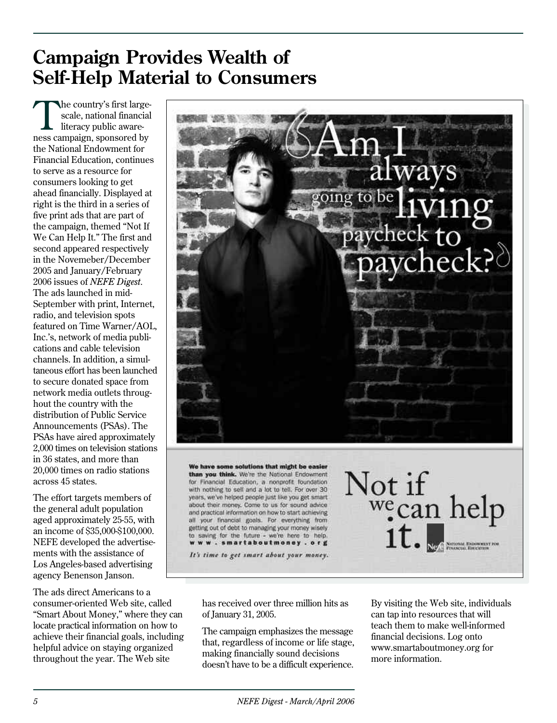### **Campaign Provides Wealth of Self-Help Material to Consumers**

The country's first largescale, national financial literacy public awareness campaign, sponsored by the National Endowment for Financial Education, continues to serve as a resource for consumers looking to get ahead financially. Displayed at right is the third in a series of five print ads that are part of the campaign, themed "Not If We Can Help It." The first and second appeared respectively in the Novemeber/December 2005 and January/February 2006 issues of *NEFE Digest*. The ads launched in mid-September with print, Internet, radio, and television spots featured on Time Warner/AOL, Inc.'s, network of media publications and cable television channels. In addition, a simultaneous effort has been launched to secure donated space from network media outlets throughout the country with the distribution of Public Service Announcements (PSAs). The PSAs have aired approximately 2,000 times on television stations in 36 states, and more than 20,000 times on radio stations across 45 states.

The effort targets members of the general adult population aged approximately 25-55, with an income of \$35,000-\$100,000. NEFE developed the advertisements with the assistance of Los Angeles-based advertising agency Benenson Janson.

The ads direct Americans to a consumer-oriented Web site, called "Smart About Money," where they can locate practical information on how to achieve their financial goals, including helpful advice on staying organized throughout the year. The Web site



has received over three million hits as of January 31, 2005.

getting out of debt to managing your money wisely to saving for the future - we're here to help. www.smartaboutmoney.org It's time to get smart about your money.

The campaign emphasizes the message that, regardless of income or life stage, making financially sound decisions doesn't have to be a difficult experience. By visiting the Web site, individuals can tap into resources that will teach them to make well-informed financial decisions. Log onto www.smartaboutmoney.org for more information.